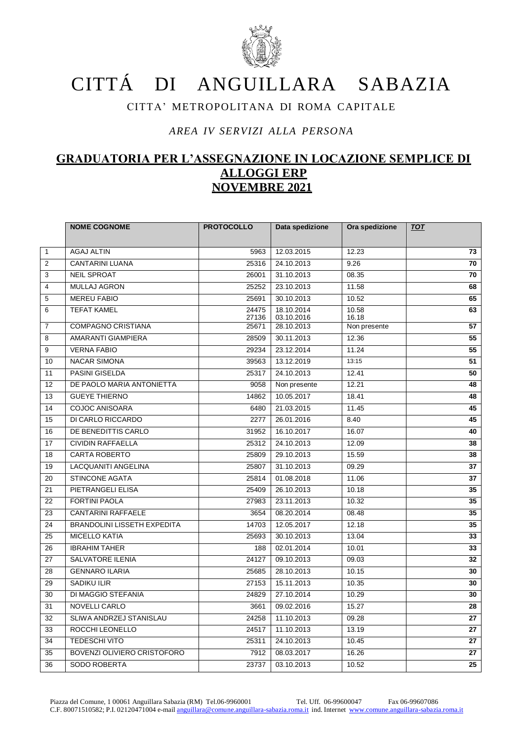

## CITTÁ DI ANGUILLARA SABAZIA

## CITTA' METROPOLITANA DI ROMA CAPITALE

## *AREA IV SERVIZI ALLA PERSONA*

## **GRADUATORIA PER L'ASSEGNAZIONE IN LOCAZIONE SEMPLICE DI ALLOGGI ERP NOVEMBRE 2021**

|                | <b>NOME COGNOME</b>                | <b>PROTOCOLLO</b> | Data spedizione          | Ora spedizione | <b>TOT</b> |
|----------------|------------------------------------|-------------------|--------------------------|----------------|------------|
|                |                                    |                   |                          |                |            |
| $\mathbf{1}$   | <b>AGAJ ALTIN</b>                  | 5963              | 12.03.2015               | 12.23          | 73         |
| $\overline{2}$ | CANTARINI LUANA                    | 25316             | 24.10.2013               | 9.26           | 70         |
| 3              | <b>NEIL SPROAT</b>                 | 26001             | 31.10.2013               | 08.35          | 70         |
| 4              | <b>MULLAJ AGRON</b>                | 25252             | 23.10.2013               | 11.58          | 68         |
| 5              | <b>MEREU FABIO</b>                 | 25691             | 30.10.2013               | 10.52          | 65         |
| 6              | <b>TEFAT KAMEL</b>                 | 24475<br>27136    | 18.10.2014<br>03.10.2016 | 10.58<br>16.18 | 63         |
| $\overline{7}$ | <b>COMPAGNO CRISTIANA</b>          | 25671             | 28.10.2013               | Non presente   | 57         |
| 8              | AMARANTI GIAMPIERA                 | 28509             | 30.11.2013               | 12.36          | 55         |
| 9              | <b>VERNA FABIO</b>                 | 29234             | 23.12.2014               | 11.24          | 55         |
| 10             | <b>NACAR SIMONA</b>                | 39563             | 13.12.2019               | 13:15          | 51         |
| 11             | <b>PASINI GISELDA</b>              | 25317             | 24.10.2013               | 12.41          | 50         |
| 12             | DE PAOLO MARIA ANTONIETTA          | 9058              | Non presente             | 12.21          | 48         |
| 13             | <b>GUEYE THIERNO</b>               | 14862             | 10.05.2017               | 18.41          | 48         |
| 14             | <b>COJOC ANISOARA</b>              | 6480              | 21.03.2015               | 11.45          | 45         |
| 15             | DI CARLO RICCARDO                  | 2277              | 26.01.2016               | 8.40           | 45         |
| 16             | DE BENEDITTIS CARLO                | 31952             | 16.10.2017               | 16.07          | 40         |
| 17             | <b>CIVIDIN RAFFAELLA</b>           | 25312             | 24.10.2013               | 12.09          | 38         |
| 18             | <b>CARTA ROBERTO</b>               | 25809             | 29.10.2013               | 15.59          | 38         |
| 19             | LACQUANITI ANGELINA                | 25807             | 31.10.2013               | 09.29          | 37         |
| 20             | STINCONE AGATA                     | 25814             | 01.08.2018               | 11.06          | 37         |
| 21             | PIETRANGELI ELISA                  | 25409             | 26.10.2013               | 10.18          | 35         |
| 22             | <b>FORTINI PAOLA</b>               | 27983             | 23.11.2013               | 10.32          | 35         |
| 23             | <b>CANTARINI RAFFAELE</b>          | 3654              | 08.20.2014               | 08.48          | 35         |
| 24             | <b>BRANDOLINI LISSETH EXPEDITA</b> | 14703             | 12.05.2017               | 12.18          | 35         |
| 25             | <b>MICELLO KATIA</b>               | 25693             | 30.10.2013               | 13.04          | 33         |
| 26             | <b>IBRAHIM TAHER</b>               | 188               | 02.01.2014               | 10.01          | 33         |
| 27             | <b>SALVATORE ILENIA</b>            | 24127             | 09.10.2013               | 09.03          | 32         |
| 28             | <b>GENNARO ILARIA</b>              | 25685             | 28.10.2013               | 10.15          | 30         |
| 29             | <b>SADIKU ILIR</b>                 | 27153             | 15.11.2013               | 10.35          | 30         |
| 30             | DI MAGGIO STEFANIA                 | 24829             | 27.10.2014               | 10.29          | 30         |
| 31             | <b>NOVELLI CARLO</b>               | 3661              | 09.02.2016               | 15.27          | 28         |
| 32             | SLIWA ANDRZEJ STANISLAU            | 24258             | 11.10.2013               | 09.28          | 27         |
| 33             | ROCCHI LEONELLO                    | 24517             | 11.10.2013               | 13.19          | 27         |
| 34             | TEDESCHI VITO                      | 25311             | 24.10.2013               | 10.45          | 27         |
| 35             | BOVENZI OLIVIERO CRISTOFORO        | 7912              | 08.03.2017               | 16.26          | 27         |
| 36             | <b>SODO ROBERTA</b>                | 23737             | 03.10.2013               | 10.52          | 25         |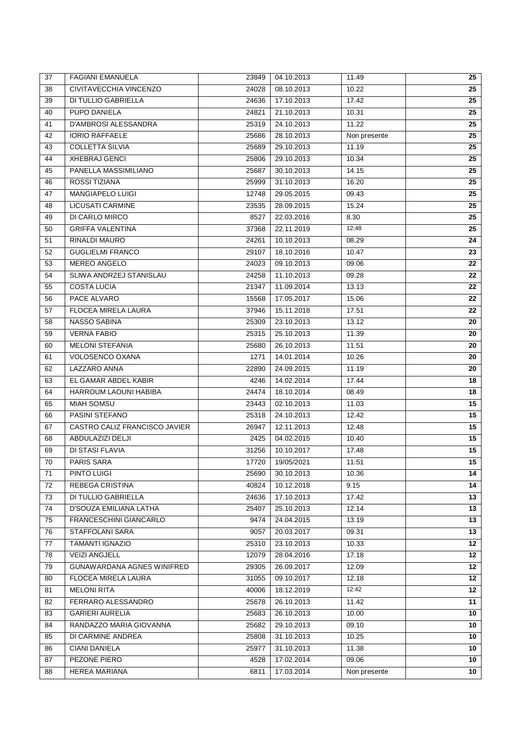| 37 | <b>FAGIANI EMANUELA</b>       | 23849 | 04.10.2013 | 11.49        | 25              |
|----|-------------------------------|-------|------------|--------------|-----------------|
| 38 | CIVITAVECCHIA VINCENZO        | 24028 | 08.10.2013 | 10.22        | 25              |
| 39 | <b>DI TULLIO GABRIELLA</b>    | 24636 | 17.10.2013 | 17.42        | 25              |
| 40 | PUPO DANIELA                  | 24821 | 21.10.2013 | 10.31        | 25              |
| 41 | <b>D'AMBROSI ALESSANDRA</b>   | 25319 | 24.10.2013 | 11.22        | 25              |
| 42 | <b>IORIO RAFFAELE</b>         | 25686 | 28.10.2013 | Non presente | 25              |
| 43 | <b>COLLETTA SILVIA</b>        | 25689 | 29.10.2013 | 11.19        | 25              |
| 44 | <b>XHEBRAJ GENCI</b>          | 25806 | 29.10.2013 | 10.34        | 25              |
| 45 | PANELLA MASSIMILIANO          | 25687 | 30.10.2013 | 14.15        | 25              |
| 46 | ROSSI TIZIANA                 | 25999 | 31.10.2013 | 16.20        | 25              |
| 47 | MANGIAPELO LUIGI              | 12748 | 29.05.2015 | 09.43        | 25              |
| 48 | <b>LICUSATI CARMINE</b>       | 23535 | 28.09.2015 | 15.24        | 25              |
| 49 | DI CARLO MIRCO                | 8527  | 22.03.2016 | 8.30         | 25              |
| 50 | <b>GRIFFA VALENTINA</b>       | 37368 | 22.11.2019 | 12:48        | 25              |
| 51 | RINALDI MAURO                 | 24261 | 10.10.2013 | 08.29        | 24              |
| 52 | <b>GUGLIELMI FRANCO</b>       | 29107 | 18.10.2016 | 10.47        | 23              |
| 53 | <b>MEREO ANGELO</b>           | 24023 | 09.10.2013 | 09.06        | 22              |
| 54 | SLIWA ANDRZEJ STANISLAU       | 24258 | 11.10.2013 | 09.28        | 22              |
| 55 | <b>COSTA LUCIA</b>            | 21347 | 11.09.2014 | 13.13        | 22              |
| 56 | PACE ALVARO                   | 15568 | 17.05.2017 | 15.06        | 22              |
| 57 | <b>FLOCEA MIRELA LAURA</b>    | 37946 | 15.11.2018 | 17.51        | 22              |
| 58 | NASSO SABINA                  | 25309 | 23.10.2013 | 13.12        | 20              |
| 59 | <b>VERNA FABIO</b>            | 25315 | 25.10.2013 | 11.39        | 20              |
| 60 | <b>MELONI STEFANIA</b>        | 25680 | 26.10.2013 | 11.51        | 20              |
| 61 | VOLOSENCO OXANA               | 1271  | 14.01.2014 | 10.26        | 20              |
| 62 | LAZZARO ANNA                  | 22890 | 24.09.2015 | 11.19        | 20              |
| 63 | EL GAMAR ABDEL KABIR          | 4246  | 14.02.2014 | 17.44        | 18              |
| 64 | HARROUM LAOUNI HABIBA         | 24474 | 18.10.2014 | 08.49        | 18              |
| 65 | <b>MIAH SOMSU</b>             | 23443 | 02.10.2013 | 11.03        | 15              |
| 66 | PASINI STEFANO                | 25318 | 24.10.2013 | 12.42        | 15              |
| 67 | CASTRO CALIZ FRANCISCO JAVIER | 26947 | 12.11.2013 | 12.48        | $\overline{15}$ |
| 68 | ABDULAZIZI DELJI              | 2425  | 04.02.2015 | 10.40        | 15              |
| 69 | DI STASI FLAVIA               | 31256 | 10.10.2017 | 17.48        | 15              |
| 70 | <b>PARIS SARA</b>             | 17720 | 19/05/2021 | 11:51        | 15              |
| 71 | PINTO LUIGI                   | 25690 | 30.10.2013 | 10.36        | 14              |
| 72 | REBEGA CRISTINA               | 40824 | 10.12.2018 | 9.15         | 14              |
| 73 | DI TULLIO GABRIELLA           | 24636 | 17.10.2013 | 17.42        | 13              |
| 74 | D'SOUZA EMILIANA LATHA        | 25407 | 25.10.2013 | 12.14        | 13              |
| 75 | FRANCESCHINI GIANCARLO        | 9474  | 24.04.2015 | 13.19        | 13              |
| 76 | STAFFOLANI SARA               | 9057  | 20.03.2017 | 09.31        | 13              |
| 77 | <b>TAMANTI IGNAZIO</b>        | 25310 | 23.10.2013 | 10.33        | 12              |
| 78 | <b>VEIZI ANGJELL</b>          | 12079 | 28.04.2016 | 17.18        | 12              |
| 79 | GUNAWARDANA AGNES WINIFRED    | 29305 | 26.09.2017 | 12.09        | 12              |
| 80 | <b>FLOCEA MIRELA LAURA</b>    | 31055 | 09.10.2017 | 12.18        | 12              |
| 81 | <b>MELONI RITA</b>            | 40006 | 18.12.2019 | 12:42        | 12              |
| 82 | FERRARO ALESSANDRO            | 25678 | 26.10.2013 | 11.42        | 11              |
| 83 | <b>GARIERI AURELIA</b>        | 25683 | 26.10.2013 | 10.00        | 10              |
| 84 | RANDAZZO MARIA GIOVANNA       | 25682 | 29.10.2013 | 09.10        | 10              |
| 85 | DI CARMINE ANDREA             | 25808 | 31.10.2013 | 10.25        | 10              |
| 86 | CIANI DANIELA                 | 25977 | 31.10.2013 | 11.38        | 10 <sub>1</sub> |
| 87 | PEZONE PIERO                  | 4528  | 17.02.2014 | 09.06        | 10              |
| 88 | <b>HEREA MARIANA</b>          | 6811  | 17.03.2014 | Non presente | 10              |